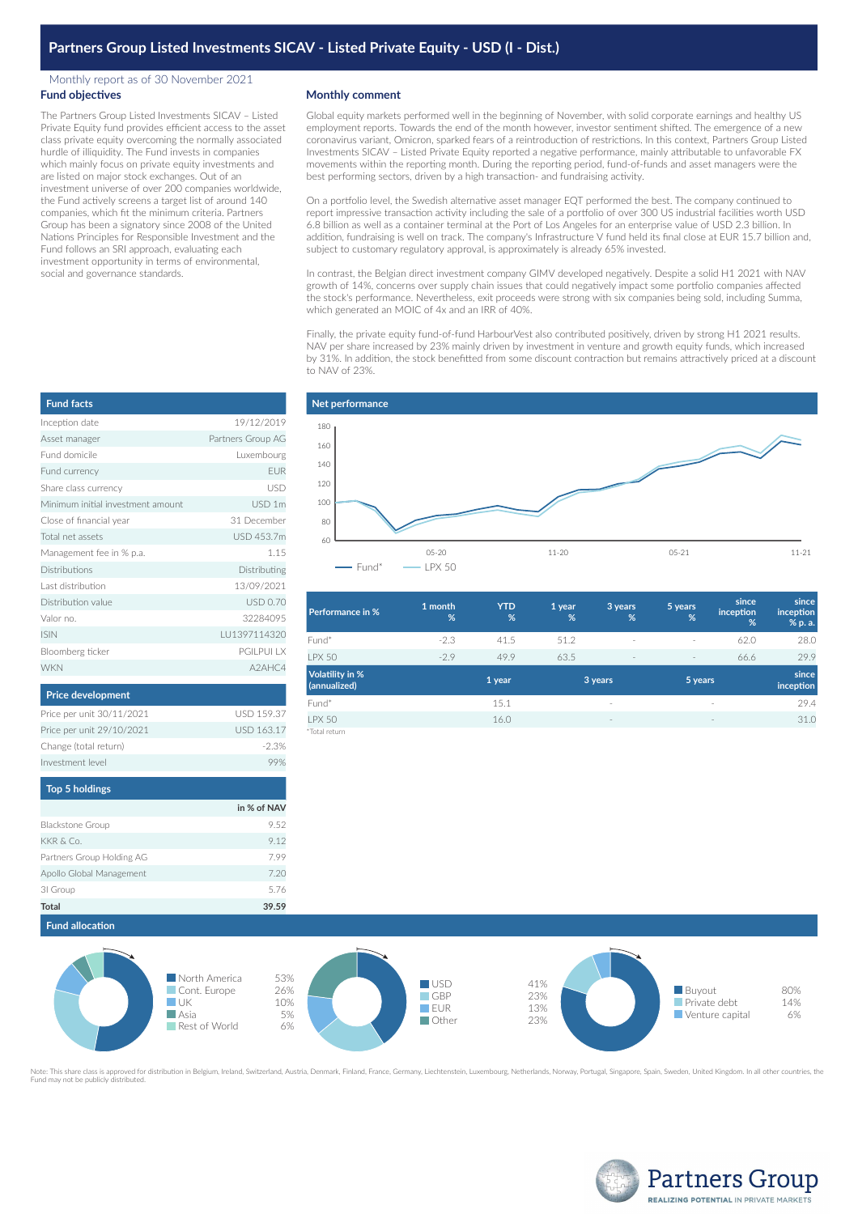## Monthly report as of 30 November 2021 **Fund objectives**

The Partners Group Listed Investments SICAV – Listed Private Equity fund provides efficient access to the asset class private equity overcoming the normally associated hurdle of illiquidity. The Fund invests in companies which mainly focus on private equity investments and are listed on major stock exchanges. Out of an investment universe of over 200 companies worldwide, the Fund actively screens a target list of around 140 companies, which fit the minimum criteria. Partners Group has been a signatory since 2008 of the United Nations Principles for Responsible Investment and the Fund follows an SRI approach, evaluating each investment opportunity in terms of environmental, social and governance standards.

## **Monthly comment**

Global equity markets performed well in the beginning of November, with solid corporate earnings and healthy US employment reports. Towards the end of the month however, investor sentiment shifted. The emergence of a new coronavirus variant, Omicron, sparked fears of a reintroduction of restrictions. In this context, Partners Group Listed Investments SICAV – Listed Private Equity reported a negative performance, mainly attributable to unfavorable FX movements within the reporting month. During the reporting period, fund-of-funds and asset managers were the best performing sectors, driven by a high transaction- and fundraising activity.

On a portfolio level, the Swedish alternative asset manager EQT performed the best. The company continued to report impressive transaction activity including the sale of a portfolio of over 300 US industrial facilities worth USD 6.8 billion as well as a container terminal at the Port of Los Angeles for an enterprise value of USD 2.3 billion. In addition, fundraising is well on track. The company's Infrastructure V fund held its final close at EUR 15.7 billion and, subject to customary regulatory approval, is approximately is already 65% invested.

In contrast, the Belgian direct investment company GIMV developed negatively. Despite a solid H1 2021 with NAV growth of 14%, concerns over supply chain issues that could negatively impact some portfolio companies affected the stock's performance. Nevertheless, exit proceeds were strong with six companies being sold, including Summa, which generated an MOIC of 4x and an IRR of 40%.

Finally, the private equity fund-of-fund HarbourVest also contributed positively, driven by strong H1 2021 results. NAV per share increased by 23% mainly driven by investment in venture and growth equity funds, which increased by 31%. In addition, the stock benefitted from some discount contraction but remains attractively priced at a discount to NAV of 23%.



| Performance in %                | 1 month<br>% | <b>YTD</b><br>% | 1 year<br>% | 3 years<br>% | 5 years<br>%             | since<br>inception<br>%         | since<br>inception<br>% p. a. |
|---------------------------------|--------------|-----------------|-------------|--------------|--------------------------|---------------------------------|-------------------------------|
| Fund*                           | $-2.3$       | 41.5            | 51.2        | $\sim$       | $\sim$                   | 62.0                            | 28.0                          |
| <b>LPX 50</b>                   | $-2.9$       | 49.9            | 63.5        | $\sim$       | $\overline{\phantom{a}}$ | 66.6                            | 29.9                          |
| Volatility in %<br>(annualized) |              | 1 year          |             | 3 years      | 5 years                  |                                 | since<br>inception            |
| Fund*                           |              | 15.1            |             | $\sim$       |                          | $\sim$                          | 29.4                          |
| <b>LPX 50</b>                   |              | 16.0            |             | $\sim$       |                          | $\hspace{0.1mm}-\hspace{0.1mm}$ | 31.0                          |
| *Total return                   |              |                 |             |              |                          |                                 |                               |

| <b>Fund facts</b>                 |                   |
|-----------------------------------|-------------------|
| Inception date                    | 19/12/2019        |
| Asset manager                     | Partners Group AG |
| Fund domicile                     | Luxembourg        |
| Fund currency                     | <b>FUR</b>        |
| Share class currency              | USD               |
| Minimum initial investment amount | USD <sub>1m</sub> |
| Close of financial year           | 31 December       |
| Total net assets                  | USD 453.7m        |
| Management fee in % p.a.          | 1.15              |
| Distributions                     | Distributing      |
| Last distribution                 | 13/09/2021        |
| Distribution value                | <b>USD 0.70</b>   |
| Valor no.                         | 32284095          |
| <b>ISIN</b>                       | LU1397114320      |
| Bloomberg ticker                  | <b>PGILPUI LX</b> |
| <b>WKN</b>                        | A2AHC4            |

| <b>Price development</b>  |                   |
|---------------------------|-------------------|
| Price per unit 30/11/2021 | <b>USD 159.37</b> |
| Price per unit 29/10/2021 | <b>USD 163.17</b> |
| Change (total return)     | $-2.3%$           |
| Investment level          |                   |

| <b>Top 5 holdings</b>     |             |
|---------------------------|-------------|
|                           | in % of NAV |
| <b>Blackstone Group</b>   | 9.52        |
| KKR & Co.                 | 9.12        |
| Partners Group Holding AG | 7.99        |
| Apollo Global Management  | 7.20        |
| 31 Group                  | 5.76        |
| Total                     | 39.59       |

**Fund allocation**



ed for distribution in Belgium, Ireland, Switzerland, Austria, Denmark, Finland, France, Germany, Liechtenstein, Luxembourg, Netherlands, Norway, Portugal, Singapore, Spain, Sweden, United Kingdom. In all other countries, Note: This share class is approved for<br>Fund may not be publicly distributed